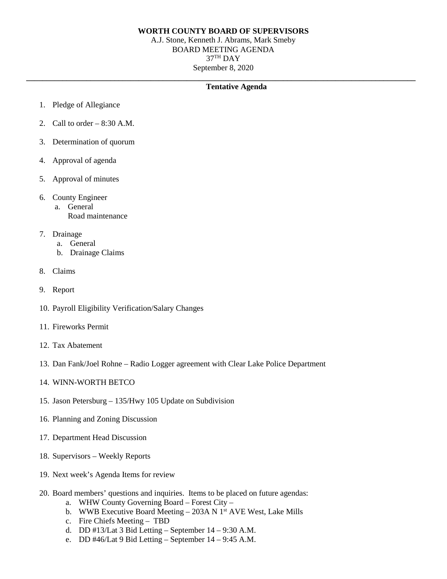## **WORTH COUNTY BOARD OF SUPERVISORS**

A.J. Stone, Kenneth J. Abrams, Mark Smeby BOARD MEETING AGENDA  $37<sup>TH</sup>$  DAY September 8, 2020

#### **\_\_\_\_\_\_\_\_\_\_\_\_\_\_\_\_\_\_\_\_\_\_\_\_\_\_\_\_\_\_\_\_\_\_\_\_\_\_\_\_\_\_\_\_\_\_\_\_\_\_\_\_\_\_\_\_\_\_\_\_\_\_\_\_\_\_\_\_\_\_\_\_\_\_\_\_\_\_\_\_\_\_\_\_\_\_\_\_\_\_\_\_\_\_\_\_\_ Tentative Agenda**

- 1. Pledge of Allegiance
- 2. Call to order  $-8:30$  A.M.
- 3. Determination of quorum
- 4. Approval of agenda
- 5. Approval of minutes
- 6. County Engineer
	- a. General
		- Road maintenance
- 7. Drainage
	- a. General
	- b. Drainage Claims
- 8. Claims
- 9. Report
- 10. Payroll Eligibility Verification/Salary Changes
- 11. Fireworks Permit
- 12. Tax Abatement
- 13. Dan Fank/Joel Rohne Radio Logger agreement with Clear Lake Police Department
- 14. WINN-WORTH BETCO
- 15. Jason Petersburg 135/Hwy 105 Update on Subdivision
- 16. Planning and Zoning Discussion
- 17. Department Head Discussion
- 18. Supervisors Weekly Reports
- 19. Next week's Agenda Items for review
- 20. Board members' questions and inquiries. Items to be placed on future agendas:
	- a. WHW County Governing Board Forest City –
	- b. WWB Executive Board Meeting  $-$  203A N 1<sup>st</sup> AVE West, Lake Mills
	- c. Fire Chiefs Meeting TBD
	- d. DD #13/Lat 3 Bid Letting September  $14 9:30$  A.M.
	- e. DD #46/Lat 9 Bid Letting September 14 9:45 A.M.